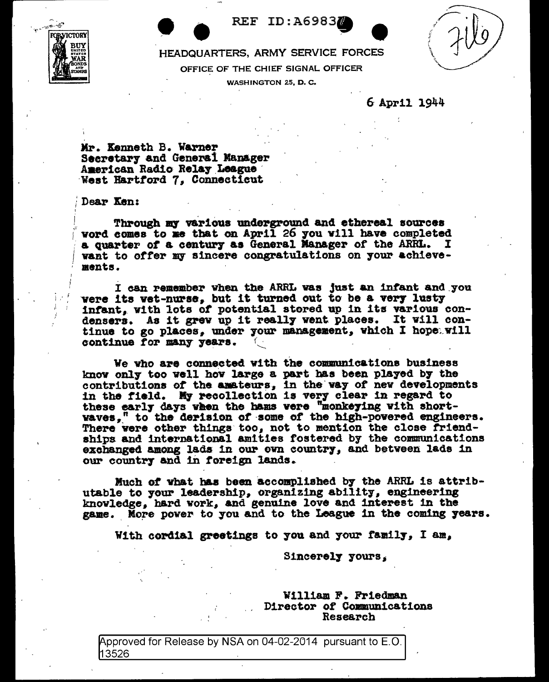**ROPLVICTORY** 

**REF ID: A69837** 

HEADQUARTERS, ARMY SERVICE FORCES

OFFICE OF THE CHIEF SIGNAL OFFICER

WASHINGTON 25, D.C.

## 6 April 1944

Mr. Kenneth B. Warner Secretary and General Manager American Radio Relay League West Hartford 7. Connecticut

Dear Ken:

Through my various underground and ethereal sources word comes to me that on April 26 you will have completed a quarter of a century as General Manager of the ARRL. I want to offer my sincere congratulations on your achievemants.

I can remember when the ARRL was just an infant and you were its wet-nurse, but it turned out to be a very lusty infant, with lots of potential stored up in its various condensers. As it grew up it really went places. It will continue to go places, under your management, which I hope will continue for many years.

We who are connected with the communications business know only too well how large a part has been played by the contributions of the amateurs, in the way of new developments in the field. My recollection is very clear in regard to these early days when the hams vere "monkeying with shortwaves," to the derision of some of the high-powered engineers. There were other things too, not to mention the close friendships and international amities fostered by the communications exchanged among lads in our own country, and between lads in our country and in foreign lands.

Much of what has been accomplished by the ARRL is attributable to your leadership, organizing ability, engineering knowledge, hard work, and genuine love and interest in the game. More power to you and to the League in the coming years.

With cordial greetings to you and your family, I am,

Sincerely yours.

William F. Friedman Director of Communications Research

Approved for Release by NSA on 04-02-2014 pursuant to E.O. 13526